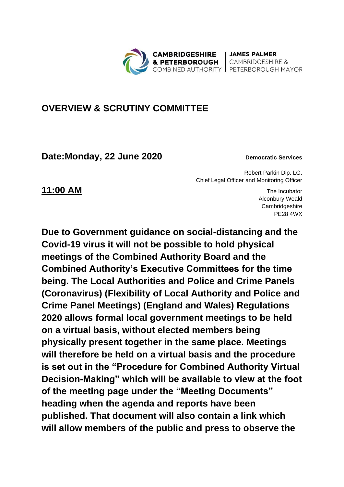

**JAMES PALMER CAMBRIDGESHIRE &** 

# **OVERVIEW & SCRUTINY COMMITTEE**

**Date:Monday, 22 June 2020 Democratic Services** 

Robert Parkin Dip. LG. Chief Legal Officer and Monitoring Officer

**11:00 AM** The Incubator Alconbury Weald **Cambridgeshire** PE28 4WX

**Due to Government guidance on social-distancing and the Covid-19 virus it will not be possible to hold physical meetings of the Combined Authority Board and the Combined Authority's Executive Committees for the time being. The Local Authorities and Police and Crime Panels (Coronavirus) (Flexibility of Local Authority and Police and Crime Panel Meetings) (England and Wales) Regulations 2020 allows formal local government meetings to be held on a virtual basis, without elected members being physically present together in the same place. Meetings will therefore be held on a virtual basis and the procedure is set out in the "Procedure for Combined Authority Virtual Decision-Making" which will be available to view at the foot of the meeting page under the "Meeting Documents" heading when the agenda and reports have been published. That document will also contain a link which will allow members of the public and press to observe the**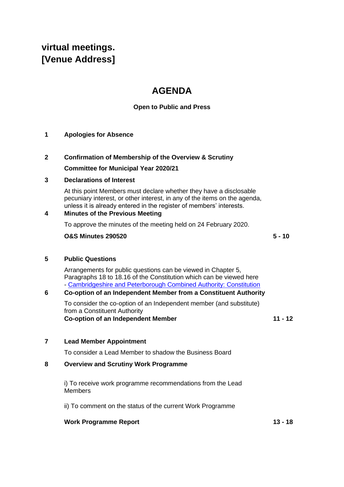# **virtual meetings. [Venue Address]**

# **AGENDA**

# **Open to Public and Press**

### **1 Apologies for Absence**

# **2 Confirmation of Membership of the Overview & Scrutiny Committee for Municipal Year 2020/21**

#### **3 Declarations of Interest**

At this point Members must declare whether they have a disclosable pecuniary interest, or other interest, in any of the items on the agenda, unless it is already entered in the register of members' interests.

## **4 Minutes of the Previous Meeting**

To approve the minutes of the meeting held on 24 February 2020.

#### **O&S Minutes 290520 5 - 10**

### **5 Public Questions**

Arrangements for public questions can be viewed in Chapter 5, Paragraphs 18 to 18.16 of the Constitution which can be viewed here - [Cambridgeshire and Peterborough Combined Authority: Constitution](https://cambridgeshirepeterborough-ca.gov.uk/assets/Uploads/Constitution-2019-10-24.pdf) 

# **6 Co-option of an Independent Member from a Constituent Authority**

To consider the co-option of an Independent member (and substitute) from a Constituent Authority **Co-option of an Independent Member 11 - 12**

### **7 Lead Member Appointment**

To consider a Lead Member to shadow the Business Board

### **8 Overview and Scrutiny Work Programme**

i) To receive work programme recommendations from the Lead **Members** 

ii) To comment on the status of the current Work Programme

### **Work Programme Report 13 - 18**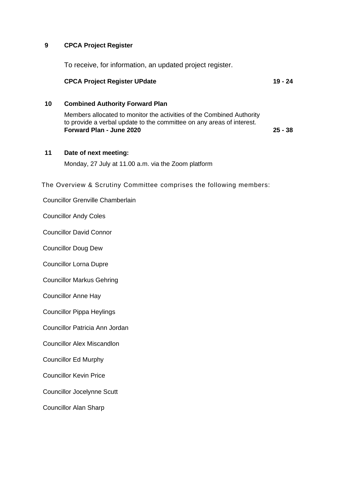#### **9 CPCA Project Register**

To receive, for information, an updated project register.

#### **CPCA Project Register UPdate 19 - 24**

#### **10 Combined Authority Forward Plan**

Members allocated to monitor the activities of the Combined Authority to provide a verbal update to the committee on any areas of interest. **Forward Plan - June 2020 25 - 38**

#### **11 Date of next meeting:**

Monday, 27 July at 11.00 a.m. via the Zoom platform

The Overview & Scrutiny Committee comprises the following members:

Councillor Grenville Chamberlain

Councillor Andy Coles

Councillor David Connor

Councillor Doug Dew

Councillor Lorna Dupre

Councillor Markus Gehring

Councillor Anne Hay

Councillor Pippa Heylings

Councillor Patricia Ann Jordan

Councillor Alex Miscandlon

Councillor Ed Murphy

Councillor Kevin Price

Councillor Jocelynne Scutt

Councillor Alan Sharp